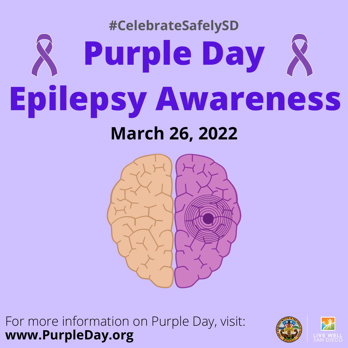### **Purple Day Epilepsy Awareness March 26, 2022 #CelebrateSafelySD**



For more information on Purple Day, visit: **www.PurpleDay.org**

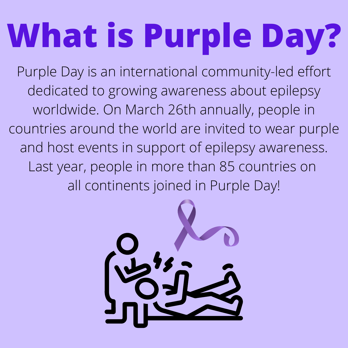## **What is Purple Day?**

Purple Day is an international community-led effort dedicated to growing awareness about epilepsy worldwide. On March 26th annually, people in countries around the world are invited to wear purple and host events in support of epilepsy awareness. Last year, people in more than 85 countries on all continents joined in Purple Day!

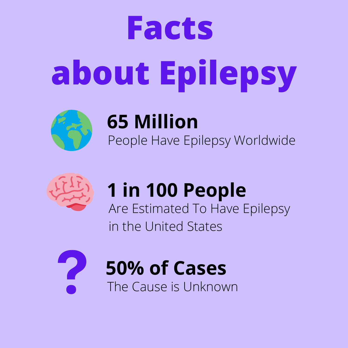# **Facts about Epilepsy**



### **65 Million**

People Have Epilepsy Worldwide



#### **1 in 100 People** Are Estimated To Have Epilepsy in the United States



**50% of Cases**

The Cause is Unknown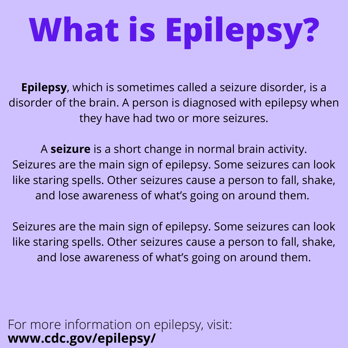# **What is Epilepsy?**

**Epilepsy**, which is sometimes called a seizure disorder, is a disorder of the brain. A person is diagnosed with epilepsy when they have had two or more seizures.

A **seizure** is a short change in normal brain activity. Seizures are the main sign of epilepsy. Some seizures can look like staring spells. Other seizures cause a person to fall, shake, and lose awareness of what's going on around them.

Seizures are the main sign of epilepsy. Some seizures can look like staring spells. Other seizures cause a person to fall, shake, and lose awareness of what's going on around them.

For more information on epilepsy, visit: **www.cdc.gov/epilepsy/**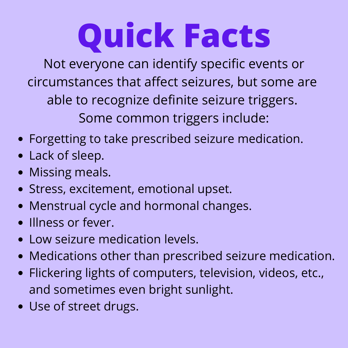## **Quick Facts**

Not everyone can identify specific events or circumstances that affect seizures, but some are able to recognize definite seizure triggers. Some common triggers include:

- Forgetting to take prescribed seizure medication.
- Lack of sleep.
- Missing meals.
- Stress, excitement, emotional upset.
- Menstrual cycle and hormonal changes.
- Illness or fever.
- Low seizure medication levels.
- Medications other than prescribed seizure medication.
- Flickering lights of computers, television, videos, etc., and sometimes even bright sunlight.
- Use of street drugs.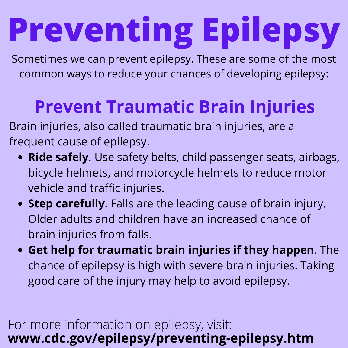# **Preventing Epilepsy**

Sometimes we can prevent epilepsy. These are some of the most common ways to reduce your chances of developing epilepsy:

### **Prevent Traumatic Brain Injuries**

Brain injuries, also called traumatic brain injuries, are a frequent cause of epilepsy.

- **Ride safely**. Use safety belts, child passenger seats, airbags, bicycle helmets, and motorcycle helmets to reduce motor vehicle and traffic injuries.
- **Step carefully**. Falls are the leading cause of brain injury. Older adults and children have an increased chance of brain injuries from falls.
- **Get help for traumatic brain injuries if they happen**. The chance of epilepsy is high with severe brain injuries. Taking good care of the injury may help to avoid epilepsy.

#### For more information on epilepsy, visit: **www.cdc.gov/epilepsy/preventing-epilepsy.htm**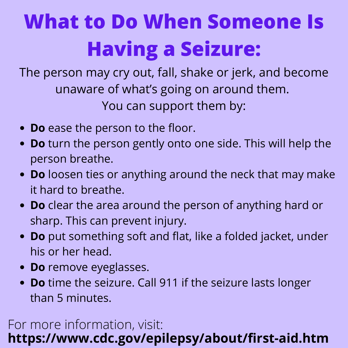### **What to Do When Someone Is Having a Seizure:**

The person may cry out, fall, shake or jerk, and become unaware of what's going on around them. You can support them by:

- **Do** ease the person to the floor.
- **Do** turn the person gently onto one side. This will help the person breathe.
- **Do** loosen ties or anything around the neck that may make it hard to breathe.
- **Do** clear the area around the person of anything hard or sharp. This can prevent injury.
- **Do** put something soft and flat, like a folded jacket, under his or her head.
- **Do** remove eyeglasses.
- **Do** time the seizure. Call 911 if the seizure lasts longer than 5 minutes.

#### For more information, visit: **<https://www.cdc.gov/epilepsy/about/first-aid.htm>**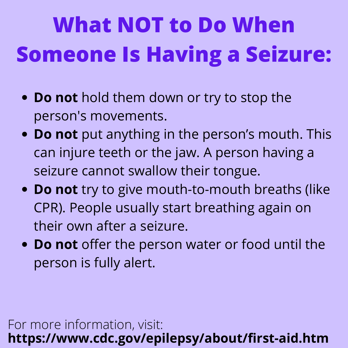### **What NOT to Do When Someone Is Having a Seizure:**

- **Do not** hold them down or try to stop the person's movements.
- **Do not** put anything in the person's mouth. This can injure teeth or the jaw. A person having a seizure cannot swallow their tongue.
- **Do not** try to give mouth-to-mouth breaths (like CPR). People usually start breathing again on their own after a seizure.
- **Do not** offer the person water or food until the person is fully alert.

For more information, visit: **<https://www.cdc.gov/epilepsy/about/first-aid.htm>**